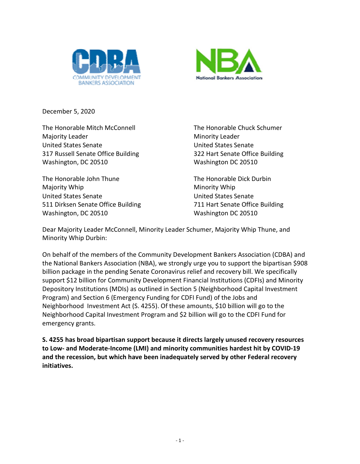



December 5, 2020

The Honorable Mitch McConnell The Honorable Chuck Schumer Majority Leader Minority Leader United States Senate United States Senate 317 Russell Senate Office Building 322 Hart Senate Office Building Washington, DC 20510 Washington DC 20510

The Honorable John Thune The Honorable Dick Durbin Majority Whip Minority Whip Minority Whip United States Senate United States Senate 511 Dirksen Senate Office Building 711 Hart Senate Office Building Washington, DC 20510 Washington DC 20510

Dear Majority Leader McConnell, Minority Leader Schumer, Majority Whip Thune, and Minority Whip Durbin:

On behalf of the members of the Community Development Bankers Association (CDBA) and the National Bankers Association (NBA), we strongly urge you to support the bipartisan \$908 billion package in the pending Senate Coronavirus relief and recovery bill. We specifically support \$12 billion for Community Development Financial Institutions (CDFIs) and Minority Depository Institutions (MDIs) as outlined in Section 5 [\(Neighborhood Capital Investment](https://www.congress.gov/bill/116th-congress/senate-bill/4255/text?r=6&s=1#id6C7BB23792274046B28399CA348CBFF4)  [Program\)](https://www.congress.gov/bill/116th-congress/senate-bill/4255/text?r=6&s=1#id6C7BB23792274046B28399CA348CBFF4) and Section 6 [\(Emergency Funding for CDFI Fund\)](https://www.congress.gov/bill/116th-congress/senate-bill/4255/text?r=6&s=1#idF6BA614706444D3F87D0E2DAD99358DF) of the [Jobs and](https://www.google.com/url?q=https://t.congressweb.com/l/?EQMVVKSHFIIFNDC&source=gmail-imap&ust=1607646242000000&usg=AOvVaw1aA_WJPj-S-zz5XJ60hqDb)  [Neighborhood Investment Act](https://www.google.com/url?q=https://t.congressweb.com/l/?EQMVVKSHFIIFNDC&source=gmail-imap&ust=1607646242000000&usg=AOvVaw1aA_WJPj-S-zz5XJ60hqDb) (S. 4255). Of these amounts, \$10 billion will go to the Neighborhood Capital Investment Program and \$2 billion will go to the CDFI Fund for emergency grants.

**S. 4255 has broad bipartisan support because it directs largely unused recovery resources to Low- and Moderate-Income (LMI) and minority communities hardest hit by COVID-19 and the recession, but which have been inadequately served by other Federal recovery initiatives.**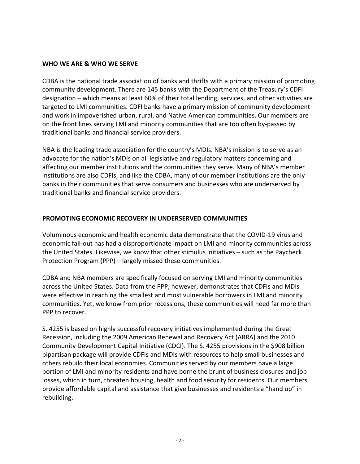## **WHO WE ARE & WHO WE SERVE**

CDBA is the national trade association of banks and thrifts with a primary mission of promoting community development. There are 145 banks with the Department of the Treasury's CDFI designation – which means at least 60% of their total lending, services, and other activities are targeted to LMI communities. CDFI banks have a primary mission of community development and work in impoverished urban, rural, and Native American communities. Our members are on the front lines serving LMI and minority communities that are too often by-passed by traditional banks and financial service providers.

NBA is the leading trade association for the country's MDIs. NBA's mission is to serve as an advocate for the nation's MDIs on all legislative and regulatory matters concerning and affecting our member institutions and the communities they serve. Many of NBA's member institutions are also CDFIs, and like the CDBA, many of our member institutions are the only banks in their communities that serve consumers and businesses who are underserved by traditional banks and financial service providers.

## **PROMOTING ECONOMIC RECOVERY IN UNDERSERVED COMMUNITIES**

Voluminous economic and health economic data demonstrate that the COVID-19 virus and economic fall-out has had a disproportionate impact on LMI and minority communities across the United States. Likewise, we know that other stimulus initiatives – such as the Paycheck Protection Program (PPP) – largely missed these communities.

CDBA and NBA members are specifically focused on serving LMI and minority communities across the United States. Data from the PPP, however, demonstrates that CDFIs and MDIs were effective in reaching the smallest and most vulnerable borrowers in LMI and minority communities. Yet, we know from prior recessions, these communities will need far more than PPP to recover.

S. 4255 is based on highly successful recovery initiatives implemented during the Great Recession, including the 2009 American Renewal and Recovery Act (ARRA) and the 2010 Community Development Capital Initiative (CDCI). The S. 4255 provisions in the \$908 billion bipartisan package will provide CDFIs and MDIs with resources to help small businesses and others rebuild their local economies. Communities served by our members have a large portion of LMI and minority residents and have borne the brunt of business closures and job losses, which in turn, threaten housing, health and food security for residents. Our members provide affordable capital and assistance that give businesses and residents a "hand up" in rebuilding.